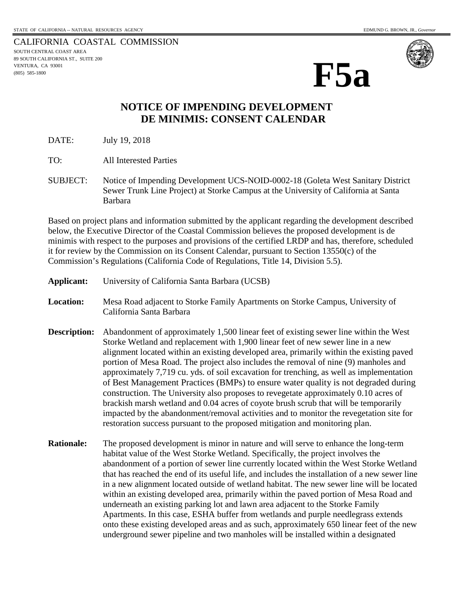CALIFORNIA COASTAL COMMISSION SOUTH CENTRAL COAST AREA 89 SOUTH CALIFORNIA ST., SUITE 200 VENTURA, CA 93001 (805) 585-1800



## **NOTICE OF IMPENDING DEVELOPMENT DE MINIMIS: CONSENT CALENDAR**

DATE: July 19, 2018

TO: All Interested Parties

SUBJECT: Notice of Impending Development UCS-NOID-0002-18 (Goleta West Sanitary District Sewer Trunk Line Project) at Storke Campus at the University of California at Santa Barbara

Based on project plans and information submitted by the applicant regarding the development described below, the Executive Director of the Coastal Commission believes the proposed development is de minimis with respect to the purposes and provisions of the certified LRDP and has, therefore, scheduled it for review by the Commission on its Consent Calendar, pursuant to Section 13550(c) of the Commission's Regulations (California Code of Regulations, Title 14, Division 5.5).

- **Applicant:** University of California Santa Barbara (UCSB)
- **Location:** Mesa Road adjacent to Storke Family Apartments on Storke Campus, University of California Santa Barbara
- **Description:** Abandonment of approximately 1,500 linear feet of existing sewer line within the West Storke Wetland and replacement with 1,900 linear feet of new sewer line in a new alignment located within an existing developed area, primarily within the existing paved portion of Mesa Road. The project also includes the removal of nine (9) manholes and approximately 7,719 cu. yds. of soil excavation for trenching, as well as implementation of Best Management Practices (BMPs) to ensure water quality is not degraded during construction. The University also proposes to revegetate approximately 0.10 acres of brackish marsh wetland and 0.04 acres of coyote brush scrub that will be temporarily impacted by the abandonment/removal activities and to monitor the revegetation site for restoration success pursuant to the proposed mitigation and monitoring plan.
- **Rationale:** The proposed development is minor in nature and will serve to enhance the long-term habitat value of the West Storke Wetland. Specifically, the project involves the abandonment of a portion of sewer line currently located within the West Storke Wetland that has reached the end of its useful life, and includes the installation of a new sewer line in a new alignment located outside of wetland habitat. The new sewer line will be located within an existing developed area, primarily within the paved portion of Mesa Road and underneath an existing parking lot and lawn area adjacent to the Storke Family Apartments. In this case, ESHA buffer from wetlands and purple needlegrass extends onto these existing developed areas and as such, approximately 650 linear feet of the new underground sewer pipeline and two manholes will be installed within a designated